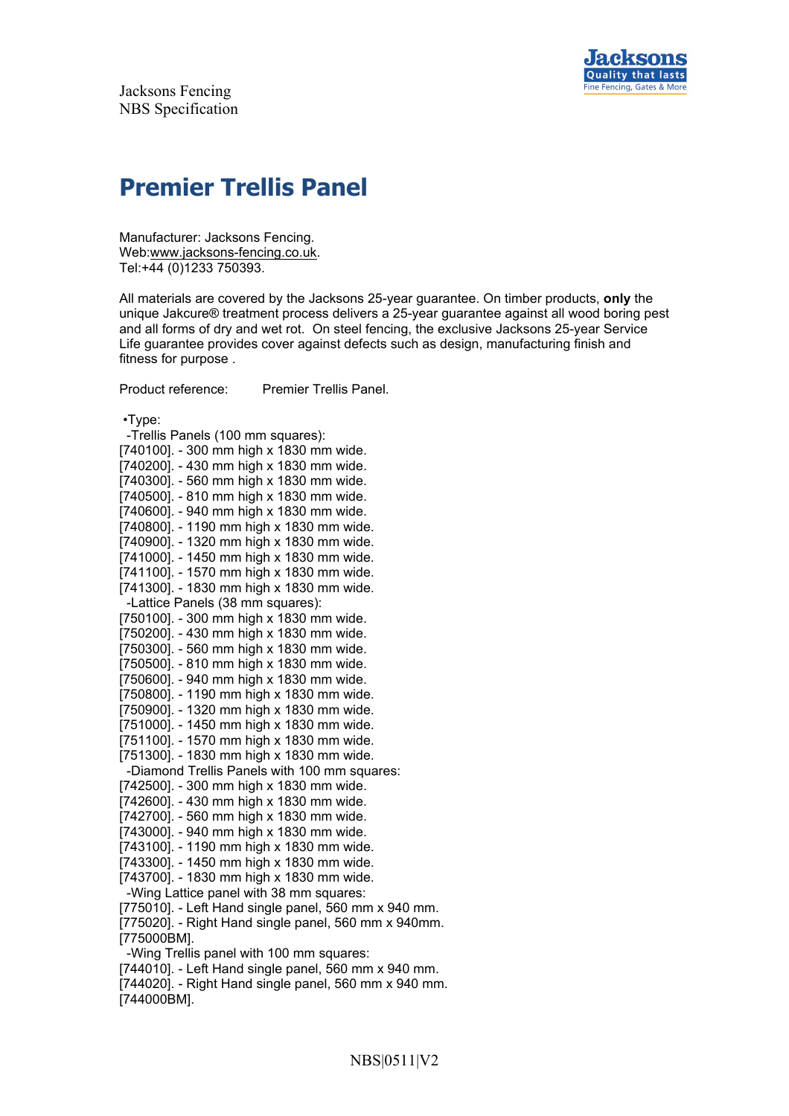

## **Premier Trellis Panel**

Manufacturer: Jacksons Fencing. Web:www.jacksons-fencing.co.uk. Tel:+44 (0)1233 750393.

All materials are covered by the Jacksons 25-year guarantee. On timber products, **only** the unique Jakcure® treatment process delivers a 25-year guarantee against all wood boring pest and all forms of dry and wet rot. On steel fencing, the exclusive Jacksons 25-year Service Life guarantee provides cover against defects such as design, manufacturing finish and fitness for purpose .

Product reference: Premier Trellis Panel.

•Type:

 -Trellis Panels (100 mm squares): [740100]. - 300 mm high x 1830 mm wide. [740200]. - 430 mm high x 1830 mm wide. [740300]. - 560 mm high x 1830 mm wide. [740500]. - 810 mm high x 1830 mm wide. [740600]. - 940 mm high x 1830 mm wide. [740800]. - 1190 mm high x 1830 mm wide. [740900]. - 1320 mm high x 1830 mm wide. [741000]. - 1450 mm high x 1830 mm wide. [741100]. - 1570 mm high x 1830 mm wide. [741300]. - 1830 mm high x 1830 mm wide. -Lattice Panels (38 mm squares): [750100]. - 300 mm high x 1830 mm wide. [750200]. - 430 mm high x 1830 mm wide. [750300]. - 560 mm high x 1830 mm wide. [750500]. - 810 mm high x 1830 mm wide. [750600]. - 940 mm high x 1830 mm wide. [750800]. - 1190 mm high x 1830 mm wide. [750900]. - 1320 mm high x 1830 mm wide. [751000]. - 1450 mm high x 1830 mm wide. [751100]. - 1570 mm high x 1830 mm wide. [751300]. - 1830 mm high x 1830 mm wide. -Diamond Trellis Panels with 100 mm squares: [742500]. - 300 mm high x 1830 mm wide. [742600]. - 430 mm high x 1830 mm wide. [742700]. - 560 mm high x 1830 mm wide. [743000]. - 940 mm high x 1830 mm wide. [743100]. - 1190 mm high x 1830 mm wide. [743300]. - 1450 mm high x 1830 mm wide. [743700]. - 1830 mm high x 1830 mm wide. -Wing Lattice panel with 38 mm squares: [775010]. - Left Hand single panel, 560 mm x 940 mm. [775020]. - Right Hand single panel, 560 mm x 940mm. [775000BM]. -Wing Trellis panel with 100 mm squares: [744010]. - Left Hand single panel, 560 mm x 940 mm. [744020]. - Right Hand single panel, 560 mm x 940 mm. [744000BM].